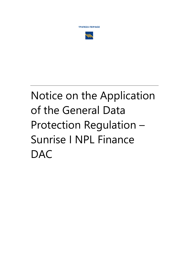ΤΡΑΠΕΖΑ ΠΕΙΡΑΙΩΣ



# Notice on the Application of the General Data Protection Regulation -Sunrise I NPL Finance **DAC**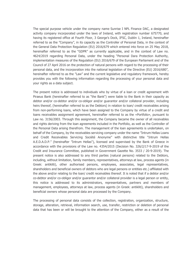The special purpose vehicle under the company name Sunrise I NPL Finance DAC, a designated activity company incorporated under the laws of Ireland, with registration number 675770, and having its registered office at Fourth Floor, 3 George's Dock, IFSC, Dublin 1, Ireland, hereinafter referred to as the "Company", in its capacity as the Controller of Personal Data, in the context of the General Data Protection Regulation (EU) 2016/679 which entered into force on 25 May 2018, hereinafter referred to as the "GDPR" as currently applicable, and in the context of Law no. 4624/2019 regarding Personal Data, under the heading "Personal Dara Protection Authority, implementation measures of the Regulation (EU) 2016/679 of the European Parliament and of the Council of 27 April 2016 on the protection of natural persons with regard to the processing of their personal data, and the incorporation into the national legislation of the Directive (EU) 2016/680", hereinafter referred to as the "Law" and the current legislative and regulatory framework, hereby provides you with the following information regarding the processing of your personal data and your rights as a data subject.

The present notice is addressed to individuals who by virtue of a loan or credit agreement with Piraeus Bank (hereinafter referred to as "the Bank") were liable to the Bank in their capacity as debtor and/or co-debtor and/or co-obligor and/or guarantor and/or collateral provider, including heirs thereof, (hereinafter referred to as the Debtors) in relation to loan/ credit receivables arising from non-performing loans, which have been assigned to the Company by virtue of a credit and loans receivables assignment agreement, hereinafter referred to as the «Portfolio», pursuant to Law no. 3156/2003. Through this assignment, the Company became the owner of all receivables and rights deriving from the loan agreements included in the Portfolio, as well as the Controller of the Personal Data arising therefrom. The management of the loan agreements is undertaken, on behalf of the Company, by the receivables servicing company under the name "Intrum Hellas Loans and Credit Receivables Servicing Société Anonyme" with distinctive title "Intrum Hellas A.E.D.A.D.P." (hereinafter "Intrum Hellas"), licensed and supervised by the Bank of Greece in accordance with the provisions of the Law no. 4354/2015 (Decision No. 326/2/17-9-2019 of the Credit and Insurance Committee, published in Government Gazette No. 3533 / 20-9-2019). The present notice is also addressed to any third parties (natural persons) related to the Debtors, including, without limitation, family members, representatives, attorneys at law, process agents (in Greek: antikliti), other authorised persons, employees, associates, legal representatives, shareholders and beneficial owners of debtors who are legal persons or entities etc.) affiliated with the above and/or relating to the loan/ credit receivables thereof. It is noted that if a debtor and/or co-debtor and/or co-obligor and/or guarantor and/or collateral provider is a legal person or entity, this notice is addressed to its administrators, representatives, partners and members of management, employees, attorneys at law, process agents (in Greek: antikliti), shareholders and beneficial owners whose personal data are processed by the Company.

The processing of personal data consists of the collection, registration, organization, structure, storage, alteration, retrieval, information search, use, transfer, restriction or deletion of personal data that has been or will be brought to the attention of the Company, either as a result of the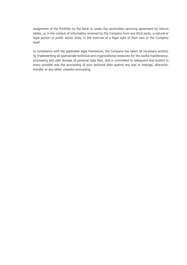assignment of the Portfolio by the Bank or under the receivables servicing agreement by Intrum Hellas, or in the context of information received by the Company from any third party, a natural or legal person or public sector body, in the exercise of a legal right of their own or the Company itself.

In compliance with the applicable legal framework, the Company has taken all necessary actions, by implementing all appropriate technical and organizational measures for the lawful maintenance, processing and safe storage of personal data files, and is committed to safeguard and protect in every possible way the processing of your personal data against any loss or leakage, alteration, transfer or any other unlawful processing.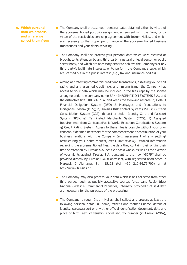- **A. Which personal data we process and where we collect them from**
- The Company shall process your personal data, obtained either by virtue of the abovementioned portfolio assignment agreement with the Bank, or by virtue of the receivables servicing agreement with Intrum Hellas, and which are necessary to the proper performance of the abovementioned business transactions and your debts servicing.
- The Company shall also process your personal data which were received or brought to its attention by any third party, a natural or legal person or public sector body, and which are necessary either to achieve the Company's or any third party's legitimate interests, or to perform the Company's tasks which are, carried out in the public interest (e.g., tax and insurance bodies).
- Aiming at protecting commercial credit and transactions, assessing your credit rating and any assumed credit risks and limiting fraud, the Company has access to your data which may be included in the files kept by the societe anonyme under the company name BANK INFORMATION SYSTEMS S.A., and the distinctive title TIRESIAS S.A. and keeps the following records: a) Default Financial Obligation System (DFO) & Mortgages and Prenotations to Mortgages System (MPS); b) Tiresias Risk Control System (TSEK); c) Credit Consolidation System (CCS); d) Lost or stolen Identity Card and Passport System (IPS); e) Terminated Merchants System (TMS); f) Assigned Requirements from Contracts/Public Works Execution Certifications System; g) Credit Rating System. Access to these files is possible without your prior consent, if deemed necessary for the commencement or continuation of your business relations with the Company (e.g. assessment of any settling/ restructuring your debts request, credit limit review). Detailed information regarding the aforementioned files, the data they contain, their origin, their time of retention by Tiresias S.A. per file or as a whole, as well as the exercise of your rights against Tiresias S.A. pursuant to the new "GDPR" shall be provided directly by Tiresias S.A. (Controller), with registered head office in Marousi, 2 Alamanas Str., 15125 (tel. +30 210-36.76.700) or at [http://www.tiresias.gr.](http://www.tiresias.gr/)
- The Company may also process your data which it has collected from other third parties, such as publicly accessible sources (e.g., Land Regis- tries/ National Cadastre, Commercial Registries, Internet), provided that said data are necessary for the purposes of the processing.
- The Company, through Intrum Hellas, shall collect and process at least the following personal data: Full name, father's and mother's name, details of identity, card/passport or any other official identification document, date and place of birth, sex, citizenship, social security number (in Greek: AMKA),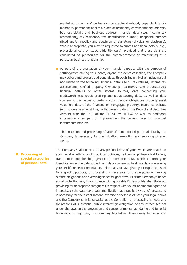marital status or non/ partnership contract/widowhood, dependent family members, permanent address, place of residence, correspondence address, business details and business address, financial data (e.g. income tax assessment), tax residence, tax identification number, telephone number (fixed and/or mobile) and specimen of signature (physical or electronic). Where appropriate, you may be requested to submit additional details (e.g., professional card or student identity card), provided that these data are considered as prerequisite for the commencement or maintaining of a particular business relationship.

■ As part of the evaluation of your financial capacity with the purpose of settling/restructuring your debts, or/and the debts collection, the Company may collect and process additional data, through Intrum Hellas, including but not limited to the following: financial details (e.g., tax returns, income tax assessments, Unified Property Ownership Tax-ENFIA, sole proprietorship financial details) or other income sources, data concerning your creditworthiness, credit profiling and credit scoring data, as well as data concerning the failure to perform your financial obligations property asset valuation, data of the financed or mortgaged property, insurance policies (e.g., coverage against Fire/Earthquakes), data of the Record and Securities Account with the DSS of the ELKAT by HELEX, as well as additional information - as part of implementing the current rules on financial instruments markets.

The collection and processing of your aforementioned personal data by the Company is necessary for the initiation, execution and servicing of your debts.

# **B. Processing of special categories of personal data**

The Company shall not process any personal data of yours which are related to your racial or ethnic origin, political opinions, religion or philosophical beliefs, trade union membership, genetic or biometric data, which confirm your identification as the data subject, and data concerning health or data concerning your sex life or sexual orientation, unless: a) you have given your explicit consent for a specific purpose; b) processing is necessary for the purposes of carrying out the obligations and exercising specific rights of yours or the Company's under social protection law, in accordance with applicable EU law or Member State law providing for appropriate safeguards in respect with your fundamental rights and interests; c) the data have been manifestly made public by you; d) processing is necessary for the establishment, exercise or defense of both your legal claims and the Company's, in its capacity as the Controller; e) processing is necessary for reasons of substantial public interest (investigation of any persecuted act under the laws on the prevention and control of money laundering and terrorist financing). In any case, the Company has taken all necessary technical and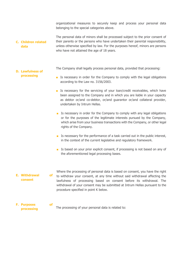organizational measures to securely keep and process your personal data belonging to the special categories above.

#### **C. Children related data** The personal data of minors shall be processed subject to the prior consent of their parents or the persons who have undertaken their parental responsibility, unless otherwise specified by law. For the purposes hereof, minors are persons who have not attained the age of 18 years.

The Company shall legally process personal data, provided that processing:

# ■ Is necessary in order for the Company to comply with the legal obligations according to the Law no. 3156/2003.

- Is necessary for the servicing of your loan/credit receivables, which have been assigned to the Company and in which you are liable in your capacity as debtor or/and co-debtor, or/and guarantor or/and collateral provider, undertaken by Intrum Hellas.
- Is necessary in order for the Company to comply with any legal obligations or for the purposes of the legitimate interests pursued by the Company, which arise from your business transactions with the Company, or other legal rights of the Company.
- Is necessary for the performance of a task carried out in the public interest, in the context of the current legislative and regulatory framework.
- Is based on your prior explicit consent, if processing is not based on any of the aforementioned legal processing bases.
- **E. Withdrawal of consent** Where the processing of personal data is based on consent, you have the right to withdraw your consent, at any time without said withdrawal affecting the lawfulness of processing based on consent before its withdrawal. The withdrawal of your consent may be submitted at Intrum Hellas pursuant to the procedure specified in point K below.

#### **F. Purposes of processing** The processing of your personal data is related to:

**D. Lawfulness of processing**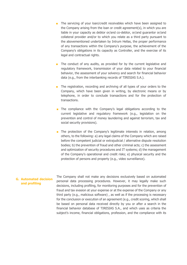- The servicing of your loan/credit receivables which have been assigned to the Company arising from the loan or credit agreement(s), in which you are liable in your capacity as debtor or/and co-debtor, or/and guarantor or/and collateral provider and/or to which you relate as a third party pursuant to the abovementioned undertaken by Intrum Hellas, the proper performance of any transactions within the Company's purpose, the achievement of the Company's obligations in its capacity as Controller, and the exercise of its legal and contractual rights.
- The conduct of any audits, as provided for by the current legislative and regulatory framework, transmission of your data related to your financial behavior, the assessment of your solvency and search for financial behavior data (e.g., from the interbanking records of TIRESIAS S.A.).
- The registration, recording and archiving of all types of your orders to the Company, which have been given in writing, by electronic means or by telephone, in order to conclude transactions and for the protection of transactions.
- The compliance with the Company's legal obligations according to the current legislative and regulatory framework (e.g., legislation on the prevention and control of money laundering and against terrorism, tax and social security provisions).
- The protection of the Company's legitimate interests in relation, among others, to the following: a) any legal claims of the Company which are raised before the competent judicial or extrajudicial / alternative dispute resolution bodies; b) the prevention of fraud and other criminal acts; c) the assessment and optimization of security procedures and IT systems; d) the management of the Company's operational and credit risks; e) physical security and the protection of persons and property (e.g., video surveillance).

## **G. Automated decision and profiling**

The Company shall not make any decisions exclusively based on automated personal data processing procedures. However, it may legally make such decisions, including profiling, for monitoring purposes and for the prevention of fraud and tax evasion at your expense or at the expense of the Company or any third party (e.g., malicious software) , as well as if the processing is necessary for the conclusion or execution of an agreement (e.g., credit scoring, which shall be based on personal data received directly by you or after a search in the financial behavior database of TIRESIAS S.A., and which uses as criteria the subject's income, financial obligations, profession, and the compliance with its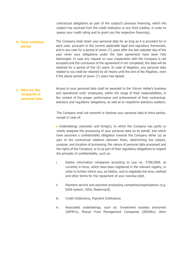contractual obligations as part of the subject's previous financing, which the subject has received from the credit institution or any third creditor, in order to assess your credit rating and to grant you the respective financing).

**H. Data retention period** The Company shall retain your personal data for as long as it is provided for in each case, pursuant to the current applicable legal and regulatory framework, and in any case for a period of seven (7) years after the last calendar day of the year when your obligations under the loan agreement have been fully discharged. In case any request on your cooperation with the Company is not accepted and the conclusion of the agreement is not completed, the data will be retained for a period of five (5) years. In case of litigation, any personal data related to you shall be retained by all means until the end of the litigation, even if the above period of seven (7) years has lapsed.

#### **I. Who are the recipients of personal data** Access to your personal data shall be awarded to the Intrum Hellas's business and operational units' employees, within the range of their responsibilities, in the context of the proper performance and achievement of their contractual, statutory and regulatory obligations, as well as to respective statutory auditors.

The Company shall not transmit or disclose your personal data to third parties, except in case of:

■ Undertakings (domestic and foreign), to which the Company has partly or wholly assigned the processing of your personal data on its behalf, and which have assumed a confidentiality obligation towards the Company either (a) as part of the contractual relations between them, determining the subject, purpose, and duration of processing, the nature of personal data processed and the rights of the Company; or b) as part of their regulatory obligations to respect the principle of confidentiality, such as:

- i. Debtor information companies according to Law no. 3758/2009, as currently in force, which have been registered in the relevant registry, in order to further inform you, as Debtor, and to negotiate the time, method and other terms for the repayment of your overdue debt.
- ii. Payment service and payment processing companies/organizations (e.g. DIAS system, VISA, Mastercard).
- iii. Credit Institutions, Payment Institutions.
- iv. Associated undertakings, such as: Investment societes anonymes (AEPEYs), Mutual Fund Management Companies (AEDAKs), other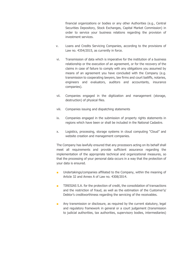financial organizations or bodies or any other Authorities (e.g., Central Securities Depository, Stock Exchanges, Capital Market Commission) in order to service your business relations regarding the provision of investment services.

- v. Loans and Credits Servicing Companies, according to the provisions of Law no. 4354/2015, as currently in force.
- vi. Transmission of data which is imperative for the institution of a business relationship or the execution of an agreement, or for the recovery of the claims in case of failure to comply with any obligations you assumed by means of an agreement you have concluded with the Company (e.g. transmission to cooperating lawyers, law firms and court bailiffs, notaries, engineers and evaluators, auditors and accountants, insurance companies).
- vii. Companies engaged in the digitization and management (storage, destruction) of physical files.
- viii. Companies issuing and dispatching statements
- ix. Companies engaged in the submission of property rights statements in regions which have been or shall be included in the National Cadastre.
- x. Logistics, processing, storage systems in cloud computing "Cloud" and website creation and management companies.

The Company has lawfully ensured that any processors acting on its behalf shall meet all requirements and provide sufficient assurance regarding the implementation of the appropriate technical and organizational measures, so that the processing of your personal data occurs in a way that the protection of your data is ensured.

- Undertakings/companies affiliated to the Company, within the meaning of Article 32 and Annex A of Law no. 4308/2014.
- TIRESIAS S.A. for the protection of credit, the consolidation of transactions and the restriction of fraud, as well as the estimation of the Customer's/ Debtor's creditworthiness regarding the servicing of the receivables.
- Any transmission or disclosure, as required by the current statutory, legal and regulatory framework in general or a court judgement (transmission to judicial authorities, tax authorities, supervisory bodies, intermediaries)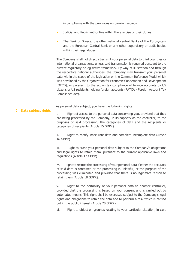in compliance with the provisions on banking secrecy.

- Judicial and Public authorities within the exercise of their duties.
- The Bank of Greece, the other national central Banks of the Eurosystem and the European Central Bank or any other supervisory or audit bodies within their legal duties.

The Company shall not directly transmit your personal data to third countries or international organizations, unless said transmission is required pursuant to the current regulatory or legislative framework. By way of illustration and through the respective national authorities, the Company may transmit your personal data within the scope of the legislation on the Common Reference Model which was developed by the Organization for Economic Cooperation and Development (OECD), or pursuant to the act on tax compliance of foreign accounts by US citizens or US residents holding foreign accounts (FATCA - Foreign Account Tax Compliance Act).

As personal data subject, you have the following rights:

## **J. Data subject rights**

i. Right of access to the personal data concerning you, provided that they are being processed by the Company, in its capacity as the controller, to the purposes of said processing, the categories of data and the recipients or categories of recipients (Article 15 GDPR).

ii. Right to rectify inaccurate data and complete incomplete data (Article 16 GDPR).

iii. Right to erase your personal data subject to the Company's obligations and legal rights to retain them, pursuant to the current applicable laws and regulations (Article 17 GDPR).

iv. Right to restrict the processing of your personal data if either the accuracy of said data is contested or the processing is unlawful, or the purpose of the processing was eliminated and provided that there is no legitimate reason to retain them (Article 18 GDPR).

v. Right to the portability of your personal data to another controller, provided that the processing is based on your consent and is carried out by automated means. This right shall be exercised subject to the Company's legal rights and obligations to retain the data and to perform a task which is carried out in the public interest (Article 20 GDPR).

vi. Right to object on grounds relating to your particular situation, in case